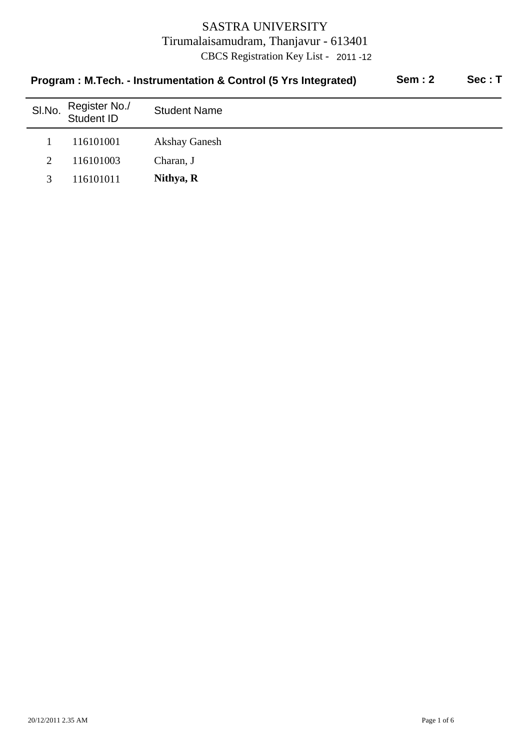| Program : M.Tech. - Instrumentation & Control (5 Yrs Integrated) |                             |                      | <b>Sem: 2</b> | Sec: T |
|------------------------------------------------------------------|-----------------------------|----------------------|---------------|--------|
| SI.No.                                                           | Register No./<br>Student ID | <b>Student Name</b>  |               |        |
|                                                                  | 116101001                   | <b>Akshay Ganesh</b> |               |        |
| 2                                                                | 116101003                   | Charan, J            |               |        |
| 3                                                                | 116101011                   | Nithya, R            |               |        |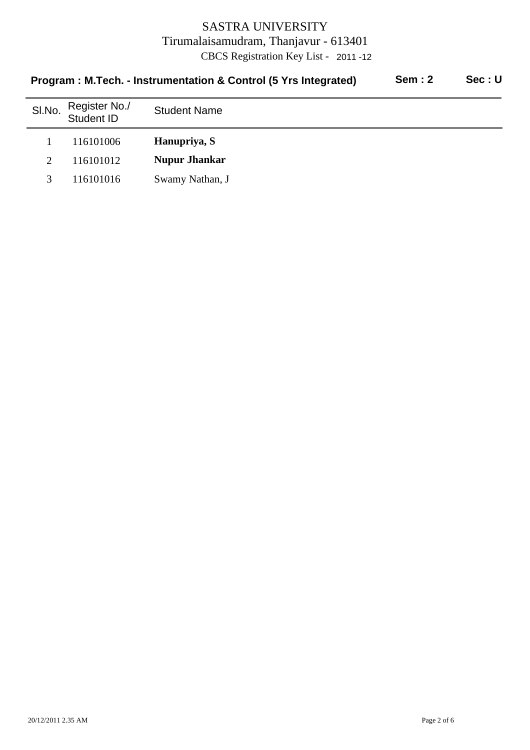|        | Program: M.Tech. - Instrumentation & Control (5 Yrs Integrated) | <b>Sem: 2</b>        | Sec: U |  |
|--------|-----------------------------------------------------------------|----------------------|--------|--|
| SI.No. | Register No./<br>Student ID                                     | <b>Student Name</b>  |        |  |
|        | 116101006                                                       | Hanupriya, S         |        |  |
| 2      | 116101012                                                       | <b>Nupur Jhankar</b> |        |  |
| 3      | 116101016                                                       | Swamy Nathan, J      |        |  |
|        |                                                                 |                      |        |  |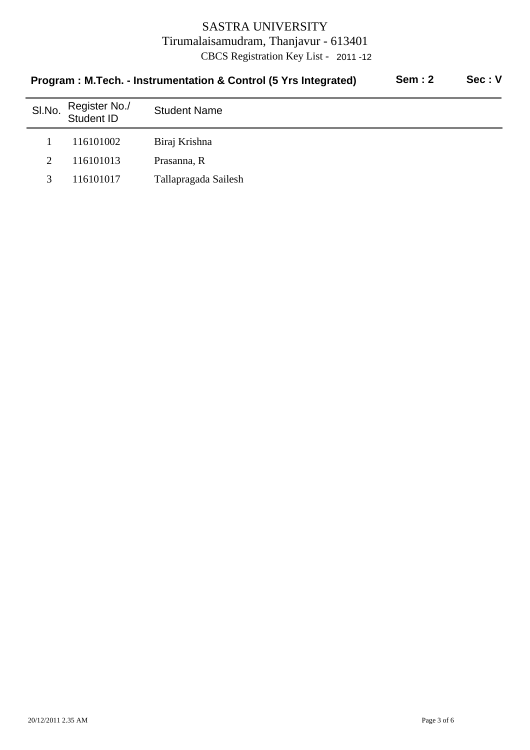| Sem: 2<br>Program: M.Tech. - Instrumentation & Control (5 Yrs Integrated) |                             |                      |  | Sec: V |
|---------------------------------------------------------------------------|-----------------------------|----------------------|--|--------|
| SI.No.                                                                    | Register No./<br>Student ID | <b>Student Name</b>  |  |        |
|                                                                           | 116101002                   | Biraj Krishna        |  |        |
| $\mathcal{D}_{\cdot}$                                                     | 116101013                   | Prasanna, R          |  |        |
| 3                                                                         | 116101017                   | Tallapragada Sailesh |  |        |
|                                                                           |                             |                      |  |        |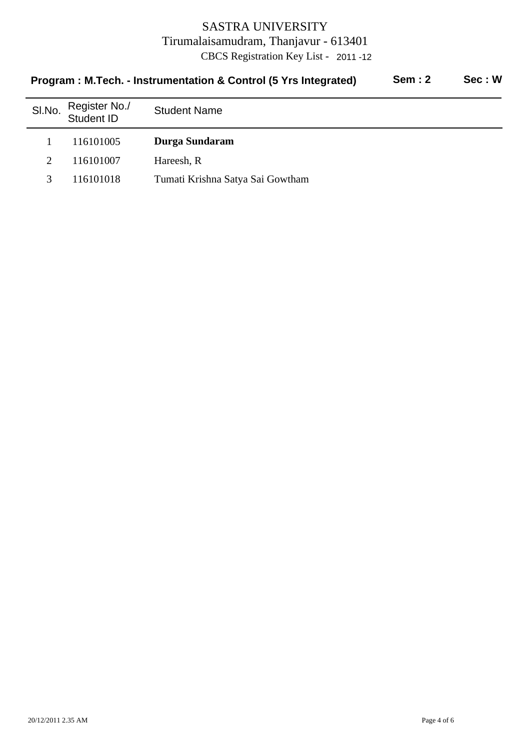| Program : M.Tech. - Instrumentation & Control (5 Yrs Integrated) |                             |                                  | Sem: 2 | Sec: W |
|------------------------------------------------------------------|-----------------------------|----------------------------------|--------|--------|
| SI.No.                                                           | Register No./<br>Student ID | <b>Student Name</b>              |        |        |
|                                                                  | 116101005                   | Durga Sundaram                   |        |        |
| $\mathcal{D}_{\mathcal{L}}$                                      | 116101007                   | Hareesh, R                       |        |        |
| 3                                                                | 116101018                   | Tumati Krishna Satya Sai Gowtham |        |        |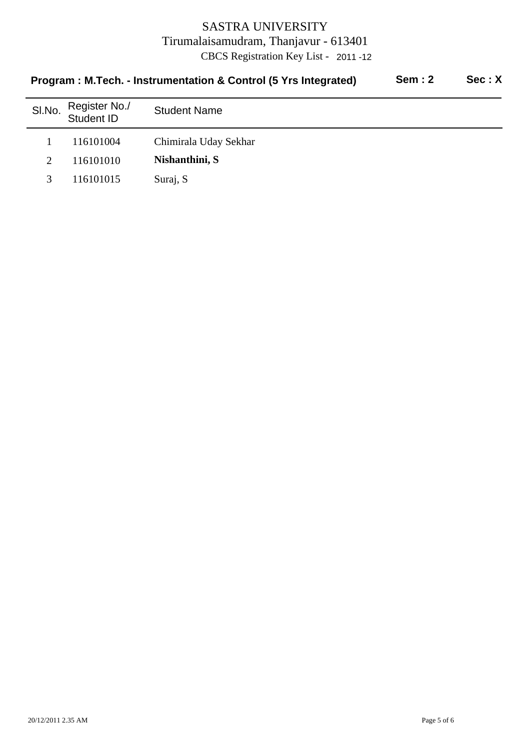| Program : M.Tech. - Instrumentation & Control (5 Yrs Integrated) |                             |                       | <b>Sem: 2</b> | Sec: X |
|------------------------------------------------------------------|-----------------------------|-----------------------|---------------|--------|
| SI.No.                                                           | Register No./<br>Student ID | <b>Student Name</b>   |               |        |
|                                                                  | 116101004                   | Chimirala Uday Sekhar |               |        |
| 2                                                                | 116101010                   | Nishanthini, S        |               |        |
|                                                                  | 116101015                   | Suraj, S              |               |        |
|                                                                  |                             |                       |               |        |